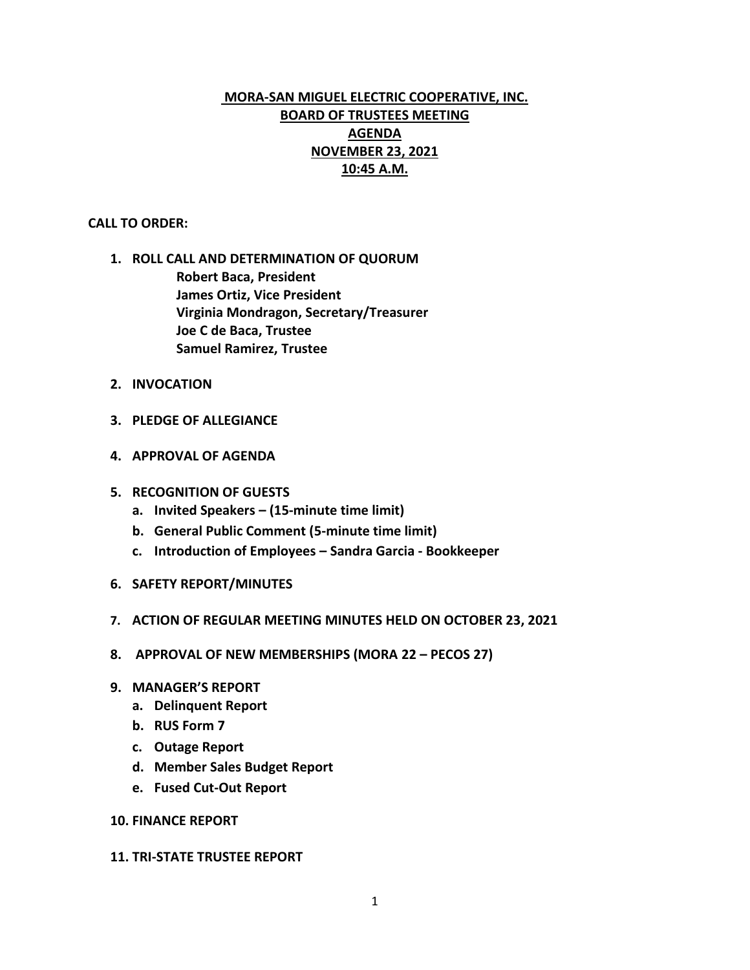# **MORA-SAN MIGUEL ELECTRIC COOPERATIVE, INC. BOARD OF TRUSTEES MEETING AGENDA NOVEMBER 23, 2021 10:45 A.M.**

#### **CALL TO ORDER:**

- **1. ROLL CALL AND DETERMINATION OF QUORUM Robert Baca, President James Ortiz, Vice President Virginia Mondragon, Secretary/Treasurer Joe C de Baca, Trustee Samuel Ramirez, Trustee**
- **2. INVOCATION**
- **3. PLEDGE OF ALLEGIANCE**
- **4. APPROVAL OF AGENDA**
- **5. RECOGNITION OF GUESTS**
	- **a. Invited Speakers – (15-minute time limit)**
	- **b. General Public Comment (5-minute time limit)**
	- **c. Introduction of Employees – Sandra Garcia - Bookkeeper**
- **6. SAFETY REPORT/MINUTES**
- **7. ACTION OF REGULAR MEETING MINUTES HELD ON OCTOBER 23, 2021**
- **8. APPROVAL OF NEW MEMBERSHIPS (MORA 22 – PECOS 27)**
- **9. MANAGER'S REPORT**
	- **a. Delinquent Report**
	- **b. RUS Form 7**
	- **c. Outage Report**
	- **d. Member Sales Budget Report**
	- **e. Fused Cut-Out Report**

### **10. FINANCE REPORT**

#### **11. TRI-STATE TRUSTEE REPORT**